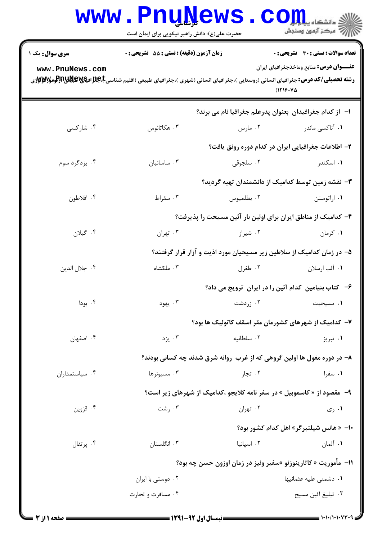|                                                                | <b>WWW.PNUNEWS</b><br>حضرت علی(ع): دانش راهبر نیکویی برای ایمان است                                                                                                                                                                |            | ، دانشکاه پی <mark>ا با با</mark> ر<br>رآ - مرڪز آزمون وسنڊش          |  |
|----------------------------------------------------------------|------------------------------------------------------------------------------------------------------------------------------------------------------------------------------------------------------------------------------------|------------|-----------------------------------------------------------------------|--|
| <b>سری سوال :</b> یک ۱                                         | <b>زمان آزمون (دقیقه) : تستی : 55 تشریحی : 0</b>                                                                                                                                                                                   |            | <b>تعداد سوالات : تستی : 30 ٪ تشریحی : 0</b>                          |  |
| www.PnuNews.com                                                | <b>رشته تحصیلی/کد درس:</b> جغرافیای انسانی (روستایی )،جغرافیای انسانی (شهری )،جغرافیای طبیعی (اقلیم شناسیCبابات او بایپالاتاتواپایاتواپایاتواپایاتواپایاتواپایاتواپایاتواپایاتواپایاتواپایاتواپایاتواپایاتواپایاتواپایاتواپایاتواپ |            | <b>عنـــوان درس:</b> منابع وماخذجغرافیای ایران<br>1119.40             |  |
|                                                                |                                                                                                                                                                                                                                    |            | ا–۔از کدام جغرافیدان بعنوان پدرعلم جغرافیا نام می برند؟               |  |
| ۰۴ شارکسی                                                      | ۰۳ هکاتائوس                                                                                                                                                                                                                        | ۰۲ مارس    | ۰۱ آناکسی ماندر                                                       |  |
|                                                                |                                                                                                                                                                                                                                    |            | ۲– اطلاعات جغرافیایی ایران در کدام دوره رونق یافت؟                    |  |
| ۰۴ یزدگرد سوم                                                  | ۰۳ ساسانیان                                                                                                                                                                                                                        | ۰۲ سلجوقی  | ۰۱ اسکندر                                                             |  |
|                                                                |                                                                                                                                                                                                                                    |            | ۳- نقشه زمین توسط کدامیک از دانشمندان تهیه گردید؟                     |  |
| ۰۴ افلاطون                                                     | ۰۳ سقراط                                                                                                                                                                                                                           | ۰۲ بطلميوس | ۰۱ اراتوستن                                                           |  |
|                                                                |                                                                                                                                                                                                                                    |            | ۴– کدامیک از مناطق ایران برای اولین بار آئین مسیحت را پذیرفت؟         |  |
| ۰۴ گیلان                                                       | ۰۳ تهران                                                                                                                                                                                                                           | ۰۲ شیراز   | ۰۱ کرمان                                                              |  |
|                                                                |                                                                                                                                                                                                                                    |            | ۵– در زمان کدامیک از سلاطین زیر مسیحیان مورد اذیت و آزار قرار گرفتند؟ |  |
| ۰۴ جلال الدين                                                  | ۰۳ ملکشاه                                                                                                                                                                                                                          | ۰۲ طغرل    | ۰۱ آلب ارسلان                                                         |  |
|                                                                |                                                                                                                                                                                                                                    |            | ۶- کتاب بنیامین کدام آئین را در ایران ترویج می داد؟                   |  |
| ۰۴ بودا                                                        | ۰۳ يهود                                                                                                                                                                                                                            | ۰۲ زردشت   | ٠١ مسيحيت                                                             |  |
|                                                                |                                                                                                                                                                                                                                    |            | ۷– کدامیک از شهرهای کشورمان مقر اسقف کاتولیک ها بود؟                  |  |
| ۰۴ اصفهان                                                      | ۰۳ يزد                                                                                                                                                                                                                             | ۰۲ سلطانيه | ۰۱ تبریز                                                              |  |
|                                                                | ۸– در دوره مغول ها اولین گروهی که از غرب روانه شرق شدند چه کسانی بودند؟                                                                                                                                                            |            |                                                                       |  |
| ۰۴ سیاستمداران                                                 | ۰۳ مسیونرها                                                                                                                                                                                                                        | ۰۲ تجار    | ۰۱ سفرا                                                               |  |
|                                                                | ۹-   مقصود از « کاسموبیل » در سفر نامه کلایجو ،کدامیک از شهرهای زیر است؟                                                                                                                                                           |            |                                                                       |  |
| ۰۴ قزوين                                                       | ۰۳ رشت                                                                                                                                                                                                                             | ۰۲ تهران   | ۰۱ ری                                                                 |  |
|                                                                |                                                                                                                                                                                                                                    |            | ∙ا− « هانس شیلتبرگر » اهل کدام کشور بود؟                              |  |
| ۰۴ پرتقال                                                      | ۰۳ انگلستان                                                                                                                                                                                                                        | ۰۲ اسیانیا | ۰۱ آلمان                                                              |  |
| 11- مأموریت « کاتارینوزنو »سفیر ونیز در زمان اوزون حسن چه بود؟ |                                                                                                                                                                                                                                    |            |                                                                       |  |
|                                                                | ۰۲ دوستی با ایران                                                                                                                                                                                                                  |            | ۰۱ دشمنی علیه عثمانیها                                                |  |
|                                                                | ۰۴ مسافرت و تجارت                                                                                                                                                                                                                  |            | ٠٣ تبليغ آئين مسيح                                                    |  |
|                                                                |                                                                                                                                                                                                                                    |            |                                                                       |  |

 $1.1.7$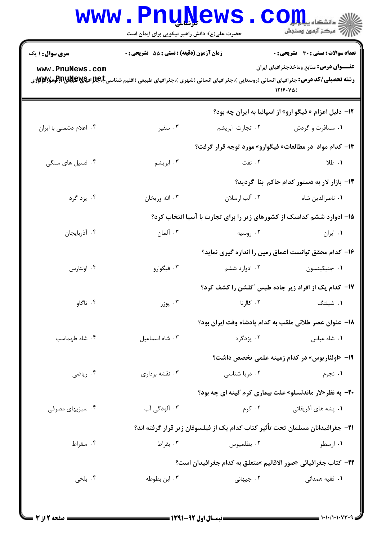|                                                                                                                                                                    | <b>WWW.PNUWEWS</b><br>حضرت علی(ع): دانش راهبر نیکویی برای ایمان است |                                                                                | ، دانشکاه پ <b>یا با بار</b> (<br>رآ مرڪز آزمون وسنڊش          |  |  |
|--------------------------------------------------------------------------------------------------------------------------------------------------------------------|---------------------------------------------------------------------|--------------------------------------------------------------------------------|----------------------------------------------------------------|--|--|
| <b>سری سوال : ۱ یک</b>                                                                                                                                             | زمان آزمون (دقیقه) : تستی : 55 تشریحی : 0                           |                                                                                | <b>تعداد سوالات : تستی : 30 ٪ تشریحی : 0</b>                   |  |  |
| www.PnuNews.com<br><b>رشته تحصیلی/کد درس:</b> جغرافیای انسانی (روستایی )،جغرافیای انسانی (شهری )،جغرافیای طبیعی (اقلیم شناسی <b>E،طبلاتیاشیاش توریکو ویسی</b> توری |                                                                     |                                                                                | <b>عنـــوان درس:</b> منابع وماخذجغرافیای ایران<br>1719.40(     |  |  |
|                                                                                                                                                                    |                                                                     |                                                                                | <b>۱۲</b> - دلیل اعزام « فیگو ارو» از اسپانیا به ایران چه بود؟ |  |  |
| ۰۴ اعلام دشمنی با ایران                                                                                                                                            | ۰۳ سفير                                                             | ۰۲ تجارت ابریشم                                                                | ۰۱ مسافرت و گردش                                               |  |  |
|                                                                                                                                                                    | ۱۳- کدام مواد  در مطالعات« فیگوارو» مورد توجه قرار گرفت؟            |                                                                                |                                                                |  |  |
| ۰۴ فسیل های سنگی                                                                                                                                                   | ۰۳ ابریشم                                                           | ۰۲ نفت                                                                         | ۱. طلا                                                         |  |  |
|                                                                                                                                                                    |                                                                     |                                                                                | ۱۴- بازار لار به دستور کدام حاکم بنا گردید؟                    |  |  |
| ۰۴ یزد گرد                                                                                                                                                         | ۰۳ الله وريخان                                                      | ٠٢ آلب ارسلان                                                                  | ٠١ ناصرالدين شاه                                               |  |  |
|                                                                                                                                                                    |                                                                     | ۱۵– ادوارد ششم کدامیک از کشورهای زیر را برای تجارت با آسیا انتخاب کرد؟         |                                                                |  |  |
| ۰۴ آذربایجان                                                                                                                                                       | ۰۳ آلمان                                                            | ۰۲ روسیه                                                                       | ۰۱ ایران                                                       |  |  |
|                                                                                                                                                                    |                                                                     | ۱۶– کدام محقق توانست اعماق زمین را اندازه گیری نماید؟                          |                                                                |  |  |
| ۰۴ اولئارس                                                                                                                                                         | ۰۳ فیگوارو                                                          | ۰۲ ادوارد ششم                                                                  | ۰۱ جنيکينسون                                                   |  |  |
|                                                                                                                                                                    |                                                                     | ۱۷- کدام یک از افراد زیر جاده طبس "گلشن را کشف کرد؟                            |                                                                |  |  |
| ۰۴ تاگاو                                                                                                                                                           | ۰۳ پوزر                                                             | ۰۲ کاا <sub>ر</sub> نا                                                         | ۰۱ شیلنگ                                                       |  |  |
|                                                                                                                                                                    |                                                                     | 18− عنوان عصر طلائی ملقب به کدام پادشاه وقت ایران بود؟                         |                                                                |  |  |
| ۰۴ شاه طهماسب                                                                                                                                                      | ۰۳ شاه اسماعيل                                                      | ۰۲ یزدگرد                                                                      | ٠١ شاه عباس                                                    |  |  |
|                                                                                                                                                                    |                                                                     |                                                                                | 19– «اولئاريوس» در كدام زمينه علمي تخصص داشت؟                  |  |  |
| ۰۴ رياضي                                                                                                                                                           | ۰۳ نقشه برداری                                                      | ۰۲ دریا شناسی                                                                  | ۰۱ نجوم                                                        |  |  |
|                                                                                                                                                                    |                                                                     | <b>۲۰</b> - به نظر«لار ماندلسلو» علت بیماری کرم گینه ای چه بود؟                |                                                                |  |  |
| ۰۴ سبزیهای مصرفی                                                                                                                                                   | ۰۳ آلودگی آب                                                        | ۰۲ کرم                                                                         | ۰۱ پشه های آفریقائی                                            |  |  |
|                                                                                                                                                                    |                                                                     | ۲۱−  جغرافیدانان مسلمان تحت تأثیر کتاب کدام یک از فیلسوفان زیر قرار گرفته اند؟ |                                                                |  |  |
| ۰۴ سقراط                                                                                                                                                           | ۰۳ بقراط                                                            | ۰۲ بطلميوس                                                                     | ۰۱ ارسطو                                                       |  |  |
|                                                                                                                                                                    | ٢٢- كتاب جغرافيائي «صور الاقاليم »متعلق به كدام جغرافيدان است؟      |                                                                                |                                                                |  |  |
| ۰۴ بلخي                                                                                                                                                            | ۰۳ ابن بطوطه                                                        | ۰۲ جیهانی                                                                      | ۰۱ فقیه همدان <sub>ی</sub>                                     |  |  |
|                                                                                                                                                                    |                                                                     |                                                                                |                                                                |  |  |